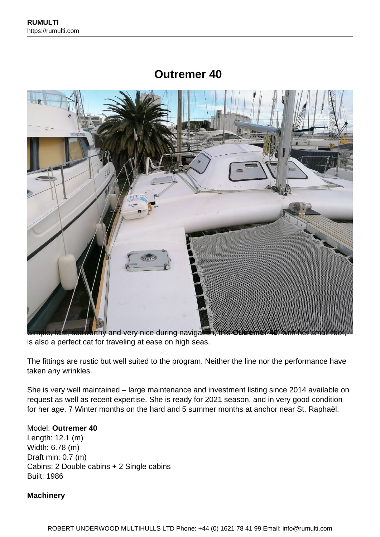# **Outremer 40**



is also a perfect cat for traveling at ease on high seas.

The fittings are rustic but well suited to the program. Neither the line nor the performance have taken any wrinkles.

She is very well maintained – large maintenance and investment listing since 2014 available on request as well as recent expertise. She is ready for 2021 season, and in very good condition for her age. 7 Winter months on the hard and 5 summer months at anchor near St. Raphaël.

## Model: **Outremer 40**

Length: 12.1 (m) Width: 6.78 (m) Draft min: 0.7 (m) Cabins: 2 Double cabins + 2 Single cabins Built: 1986

## **Machinery**